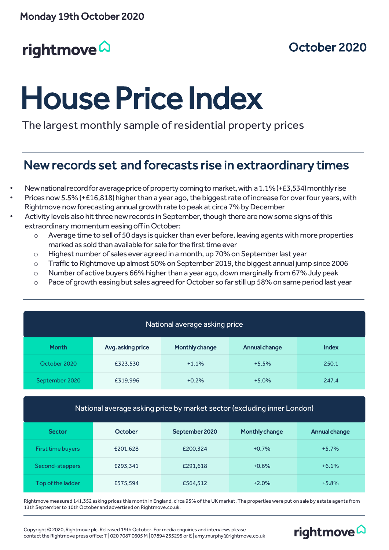## rightmove<sup>2</sup>

## October 2020

rightmove<sup>2</sup>

# House Price Index

The largest monthly sample of residential property prices

## New records set and forecasts rise in extraordinary times

- New national record for average price of property coming to market, with a 1.1% (+£3,534) monthly rise
- Prices now 5.5% (+£16,818) higher than a year ago, the biggest rate of increase for over four years, with Rightmove now forecasting annual growth rate to peak at circa 7% by December
- Activity levels also hit three new records in September, though there are now some signs of this extraordinary momentum easing off in October:
	- o Average time to sell of 50 days is quicker than ever before, leaving agents with more properties marked as sold than available for sale for the first time ever
	- o Highest number of sales ever agreed in a month, up 70% on September last year
	- o Traffic to Rightmove up almost 50% on September 2019, the biggest annual jump since 2006
	- $\circ$  Number of active buyers 66% higher than a year ago, down marginally from 67% July peak
	- $\circ$  Pace of growth easing but sales agreed for October so far still up 58% on same period last year

| National average asking price |                   |                |               |              |  |  |
|-------------------------------|-------------------|----------------|---------------|--------------|--|--|
| <b>Month</b>                  | Avg. asking price | Monthly change | Annual change | <b>Index</b> |  |  |
| October 2020                  | £323,530          | $+1.1%$        | $+5.5%$       | 250.1        |  |  |
| September 2020                | £319,996          | $+0.2%$        | $+5.0%$       | 247.4        |  |  |

#### National average asking price by market sector (excluding inner London)

| <b>Sector</b>     | October  | September 2020 | <b>Monthly change</b> | Annual change |
|-------------------|----------|----------------|-----------------------|---------------|
| First time buyers | £201,628 | £200,324       | $+0.7%$               | $+5.7%$       |
| Second-steppers   | £293,341 | £291,618       | $+0.6%$               | $+6.1%$       |
| Top of the ladder | £575,594 | £564,512       | $+2.0%$               | $+5.8%$       |

Rightmove measured 141,352 asking prices this month in England, circa 95% of the UK market. The properties were put on sale by estate agents from 13th September to 10th October and advertised on Rightmove.co.uk.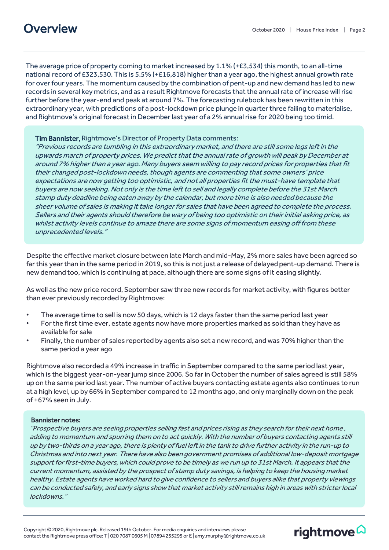The average price of property coming to market increased by 1.1% (+£3,534) this month, to an all-time national record of £323,530. This is 5.5% (+£16,818) higher than a year ago, the highest annual growth rate for over four years. The momentum caused by the combination of pent-up and new demand has led to new records in several key metrics, and as a result Rightmove forecasts that the annual rate of increase will rise further before the year-end and peak at around 7%. The forecasting rulebook has been rewritten in this extraordinary year, with predictions of a post-lockdown price plunge in quarter three failing to materialise, and Rightmove's original forecast in December last year of a 2% annual rise for 2020 being too timid.

#### Tim Bannister, Rightmove's Director of Property Data comments:

"Previous records are tumbling in this extraordinary market, and there are still some legs left in the upwards march of property prices. We predict that the annual rate of growth will peak by December at around 7% higher than a year ago. Many buyers seem willing to pay record prices for properties that fit their changed post-lockdown needs, though agents are commenting that some owners' price expectations are now getting too optimistic, and not all properties fit the must-have template that buyers are now seeking. Not only is the time left to sell and legally complete before the 31st March stamp duty deadline being eaten away by the calendar, but more time is also needed because the sheer volume of sales is making it take longer for sales that have been agreed to complete the process. Sellers and their agents should therefore be wary of being too optimistic on their initial asking price, as whilst activity levels continue to amaze there are some signs of momentum easing off from these unprecedented levels."

Despite the effective market closure between late March and mid-May, 2% more sales have been agreed so far this year than in the same period in 2019, so this is not just a release of delayed pent-up demand. There is new demand too, which is continuing at pace, although there are some signs of it easing slightly.

As well as the new price record, September saw three new records for market activity, with figures better than ever previously recorded by Rightmove:

- The average time to sell is now 50 days, which is 12 days faster than the same period last year
- For the first time ever, estate agents now have more properties marked as sold than they have as available for sale
- Finally, the number of sales reported by agents also set a new record, and was 70% higher than the same period a year ago

Rightmove also recorded a 49% increase in traffic in September compared to the same period last year, which is the biggest year-on-year jump since 2006. So far in October the number of sales agreed is still 58% up on the same period last year. The number of active buyers contacting estate agents also continues to run at a high level, up by 66% in September compared to 12 months ago, and only marginally down on the peak of +67% seen in July.

#### Bannister notes:

"Prospective buyers are seeing properties selling fast and prices rising as they search for their next home , adding to momentum and spurring them on to act quickly. With the number of buyers contacting agents still up by two-thirds on a year ago, there is plenty of fuel left in the tank to drive further activity in the run-up to Christmas and into next year. There have also been government promises of additional low-deposit mortgage support for first-time buyers, which could prove to be timely as we run up to 31st March. It appears that the current momentum, assisted by the prospect of stamp duty savings, is helping to keep the housing market healthy. Estate agents have worked hard to give confidence to sellers and buyers alike that property viewings can be conducted safely, and early signs show that market activity still remains high in areas with stricter local lockdowns."

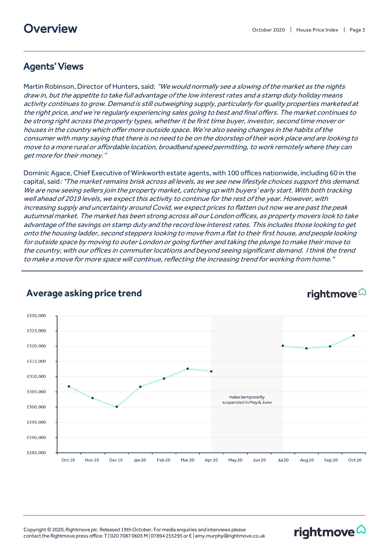#### Agents' Views

Martin Robinson, Director of Hunters, said: "We would normally see a slowing of the market as the nights draw in, but the appetite to take full advantage of the low interest rates and a stamp duty holiday means activity continues to grow. Demand is still outweighing supply, particularly for quality properties marketed at the right price, and we're regularly experiencing sales going to best and final offers. The market continues to be strong right across the property types, whether it be first time buyer, investor, second time mover or houses in the country which offer more outside space. We're also seeing changes in the habits of the consumer with many saying that there is no need to be on the doorstep of their work place and are looking to move to a more rural or affordable location, broadband speed permitting, to work remotely where they can get more for their money."

Dominic Agace, Chief Executive of Winkworth estate agents, with 100 offices nationwide, including 60 in the capital, said:"The market remains brisk across all levels, as we see new lifestyle choices support this demand. We are now seeing sellers join the property market, catching up with buyers' early start. With both tracking well ahead of 2019 levels, we expect this activity to continue for the rest of the year. However, with increasing supply and uncertainty around Covid, we expect prices to flatten out now we are past the peak autumnal market. The market has been strong across all our London offices, as property movers look to take advantage of the savings on stamp duty and the record low interest rates. This includes those looking to get onto the housing ladder, second steppers looking to move from a flat to their first house, and people looking for outside space by moving to outer London or going further and taking the plunge to make their move to the country, with our offices in commuter locations and beyond seeing significant demand. I think the trend to make a move for more space will continue, reflecting the increasing trend for working from home."



#### Average asking price trend

rightmove<sup>2</sup>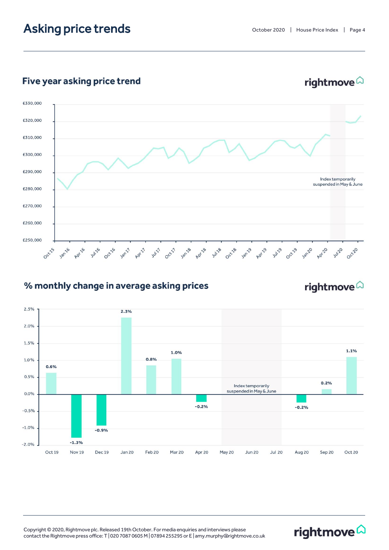## Asking price trends

rightmove<sup>2</sup>

#### Five year asking price trend



#### % monthly change in average asking prices

### rightmove<sup>2</sup>

rightmove<sup>2</sup>

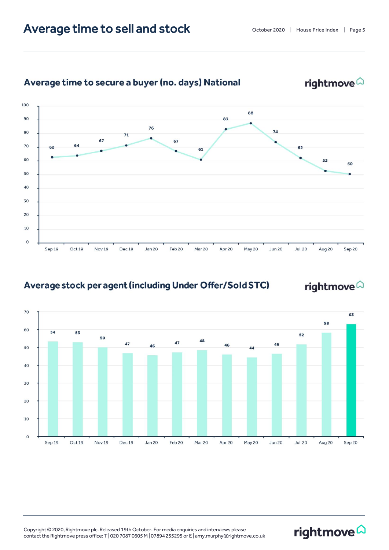## Average time to sell and stock



#### Average time to secure a buyer (no. days) National

#### Average stock per agent (including Under Offer/Sold STC)

## rightmove<sup>2</sup>

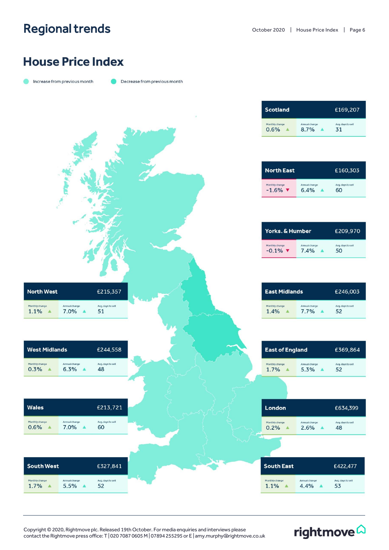## Regional trends

rightmove<sup>2</sup>

## **House Price Index**

|  | Increase from previous month |  |
|--|------------------------------|--|

Decrease from previous month

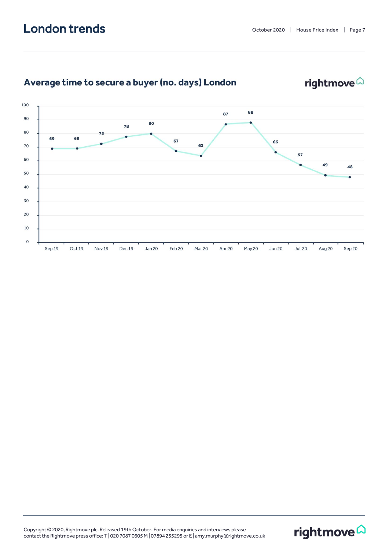

### Average time to secure a buyer (no. days) London

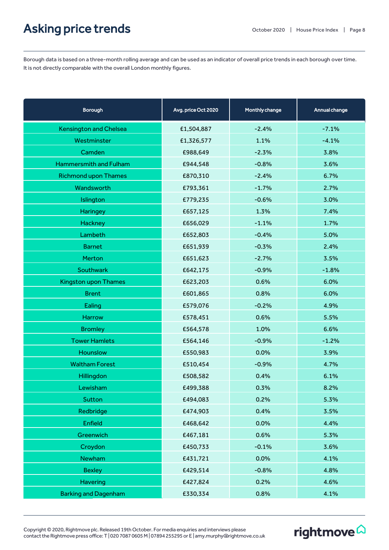## Asking price trends

Borough data is based on a three-month rolling average and can be used as an indicator of overall price trends in each borough over time. It is not directly comparable with the overall London monthly figures.

| <b>Borough</b>                | Avg. price Oct 2020 | Monthly change | Annual change |
|-------------------------------|---------------------|----------------|---------------|
| <b>Kensington and Chelsea</b> | £1,504,887          | $-2.4%$        | $-7.1%$       |
| Westminster                   | £1,326,577          | 1.1%           | $-4.1%$       |
| Camden                        | £988,649            | $-2.3%$        | 3.8%          |
| Hammersmith and Fulham        | £944,548            | $-0.8%$        | 3.6%          |
| <b>Richmond upon Thames</b>   | £870,310            | $-2.4%$        | 6.7%          |
| Wandsworth                    | £793,361            | $-1.7%$        | 2.7%          |
| Islington                     | £779,235            | $-0.6%$        | 3.0%          |
| Haringey                      | £657,125            | 1.3%           | 7.4%          |
| Hackney                       | £656,029            | $-1.1%$        | 1.7%          |
| Lambeth                       | £652,803            | $-0.4%$        | 5.0%          |
| <b>Barnet</b>                 | £651,939            | $-0.3%$        | 2.4%          |
| Merton                        | £651,623            | $-2.7%$        | 3.5%          |
| Southwark                     | £642,175            | $-0.9%$        | $-1.8%$       |
| <b>Kingston upon Thames</b>   | £623,203            | 0.6%           | 6.0%          |
| <b>Brent</b>                  | £601,865            | 0.8%           | 6.0%          |
| Ealing                        | £579,076            | $-0.2%$        | 4.9%          |
| Harrow                        | £578,451            | 0.6%           | 5.5%          |
| <b>Bromley</b>                | £564,578            | 1.0%           | 6.6%          |
| <b>Tower Hamlets</b>          | £564,146            | $-0.9%$        | $-1.2%$       |
| Hounslow                      | £550,983            | 0.0%           | 3.9%          |
| <b>Waltham Forest</b>         | £510,454            | $-0.9%$        | 4.7%          |
| Hillingdon                    | £508,582            | 0.4%           | 6.1%          |
| Lewisham                      | £499,388            | 0.3%           | 8.2%          |
| Sutton                        | £494,083            | 0.2%           | 5.3%          |
| Redbridge                     | £474,903            | 0.4%           | 3.5%          |
| Enfield                       | £468,642            | 0.0%           | 4.4%          |
| Greenwich                     | £467,181            | 0.6%           | 5.3%          |
| Croydon                       | £450,733            | $-0.1%$        | 3.6%          |
| <b>Newham</b>                 | £431,721            | 0.0%           | 4.1%          |
| <b>Bexley</b>                 | £429,514            | $-0.8%$        | 4.8%          |
| <b>Havering</b>               | £427,824            | 0.2%           | 4.6%          |
| <b>Barking and Dagenham</b>   | £330,334            | 0.8%           | 4.1%          |

Copyright © 2020, Rightmove plc. Released 19th October. For media enquiries and interviews please contact the Rightmove press office: T | 020 7087 0605 M | 07894 255295 or E | amy.murphy@rightmove.co.uk